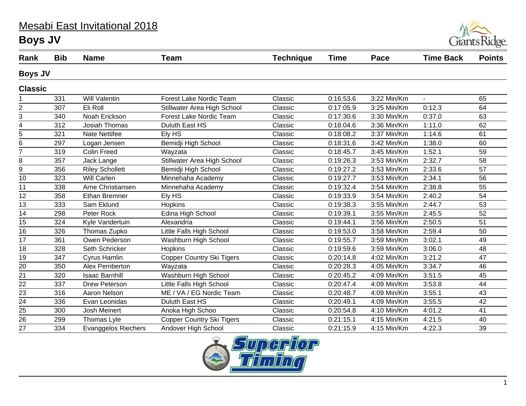## Mesabi East Invitational 2018 **Boys JV**



| Rank            | <b>Bib</b> | <b>Name</b>                | Team                             | <b>Technique</b> | <b>Time</b> | Pace        | <b>Time Back</b> | <b>Points</b>   |
|-----------------|------------|----------------------------|----------------------------------|------------------|-------------|-------------|------------------|-----------------|
| <b>Boys JV</b>  |            |                            |                                  |                  |             |             |                  |                 |
| <b>Classic</b>  |            |                            |                                  |                  |             |             |                  |                 |
|                 | 331        | <b>Will Valentin</b>       | <b>Forest Lake Nordic Team</b>   | Classic          | 0:16:53.6   | 3:22 Min/Km | $\mathbf{r}$     | 65              |
| $\overline{2}$  | 307        | Eli Roll                   | Stillwater Area High School      | Classic          | 0:17:05.9   | 3:25 Min/Km | 0:12.3           | 64              |
| 3               | 340        | Noah Erickson              | <b>Forest Lake Nordic Team</b>   | Classic          | 0:17:30.6   | 3:30 Min/Km | 0:37.0           | 63              |
| 4               | 312        | <b>Josiah Thomas</b>       | Duluth East HS                   | Classic          | 0:18:04.6   | 3:36 Min/Km | 1:11.0           | 62              |
| 5               | 321        | <b>Nate Nettifee</b>       | Ely HS                           | Classic          | 0:18:08.2   | 3:37 Min/Km | 1:14.6           | 61              |
| 6               | 297        | Logan Jensen               | Bemidji High School              | Classic          | 0:18:31.6   | 3:42 Min/Km | 1:38.0           | 60              |
| 7               | 319        | <b>Colin Freed</b>         | Wayzata                          | Classic          | 0:18:45.7   | 3:45 Min/Km | 1:52.1           | 59              |
| 8               | 357        | Jack Lange                 | Stillwater Area High School      | Classic          | 0:19:26.3   | 3:53 Min/Km | 2:32.7           | 58              |
| 9               | 356        | <b>Riley Schollett</b>     | Bemidji High School              | Classic          | 0:19:27.2   | 3:53 Min/Km | 2:33.6           | 57              |
| 10              | 323        | Will Carlen                | Minnehaha Academy                | Classic          | 0:19:27.7   | 3:53 Min/Km | 2:34.1           | 56              |
| 11              | 338        | Arne Christiansen          | Minnehaha Academy                | Classic          | 0:19:32.4   | 3:54 Min/Km | 2:38.8           | 55              |
| 12              | 358        | Ethan Bremner              | Ely HS                           | Classic          | 0:19:33.9   | 3:54 Min/Km | 2:40.2           | $\overline{54}$ |
| 13              | 333        | Sam Eklund                 | <b>Hopkins</b>                   | Classic          | 0:19:38.3   | 3:55 Min/Km | 2:44.7           | 53              |
| 14              | 298        | Peter Rock                 | Edina High School                | Classic          | 0:19:39.1   | 3:55 Min/Km | 2:45.5           | 52              |
| 15              | 324        | Kyle Vandertuin            | Alexandria                       | Classic          | 0:19:44.1   | 3:56 Min/Km | 2:50.5           | 51              |
| 16              | 326        | Thomas Zupko               | Little Falls High School         | Classic          | 0:19:53.0   | 3:58 Min/Km | 2:59.4           | 50              |
| 17              | 361        | Owen Pederson              | Washburn High School             | Classic          | 0:19:55.7   | 3:59 Min/Km | 3:02.1           | 49              |
| 18              | 328        | Seth Schricker             | <b>Hopkins</b>                   | Classic          | 0:19:59.6   | 3:59 Min/Km | 3:06.0           | 48              |
| 19              | 347        | Cyrus Hamlin               | <b>Copper Country Ski Tigers</b> | Classic          | 0:20:14.8   | 4:02 Min/Km | 3:21.2           | 47              |
| 20              | 350        | Alex Pemberton             | Wayzata                          | Classic          | 0:20:28.3   | 4:05 Min/Km | 3:34.7           | 46              |
| 21              | 320        | <b>Isaac Barnhill</b>      | Washburn High School             | Classic          | 0:20:45.2   | 4:09 Min/Km | 3:51.5           | 45              |
| $\overline{22}$ | 337        | Drew Peterson              | Little Falls High School         | Classic          | 0:20:47.4   | 4:09 Min/Km | 3:53.8           | 44              |
| 23              | 316        | Aaron Nelson               | ME / VA / EG Nordic Team         | Classic          | 0:20:48.7   | 4:09 Min/Km | 3:55.1           | 43              |
| 24              | 336        | Evan Leonidas              | Duluth East HS                   | Classic          | 0:20:49.1   | 4:09 Min/Km | 3:55.5           | 42              |
| 25              | 300        | Josh Meinert               | Anoka High Schoo                 | Classic          | 0:20:54.8   | 4:10 Min/Km | 4:01.2           | 41              |
| 26              | 299        | Thomas Lyle                | <b>Copper Country Ski Tigers</b> | Classic          | 0:21:15.1   | 4:15 Min/Km | 4:21.5           | 40              |
| 27              | 334        | <b>Evanggelos Riechers</b> | Andover High School              | Classic          | 0:21:15.9   | 4:15 Min/Km | 4:22.3           | 39              |

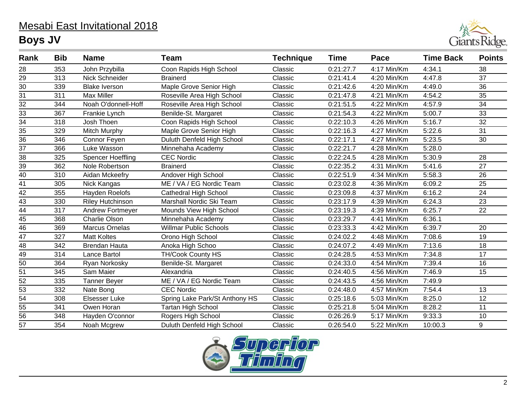## Mesabi East Invitational 2018 **Boys JV**



| Rank            | <b>Bib</b> | <b>Name</b>           | <b>Team</b>                    | <b>Technique</b> | <b>Time</b> | Pace        | <b>Time Back</b> | <b>Points</b>   |
|-----------------|------------|-----------------------|--------------------------------|------------------|-------------|-------------|------------------|-----------------|
| 28              | 353        | John Przybilla        | Coon Rapids High School        | Classic          | 0:21:27.7   | 4:17 Min/Km | 4:34.1           | 38              |
| 29              | 313        | Nick Schneider        | <b>Brainerd</b>                | Classic          | 0:21:41.4   | 4:20 Min/Km | 4:47.8           | 37              |
| 30              | 339        | <b>Blake Iverson</b>  | Maple Grove Senior High        | Classic          | 0:21:42.6   | 4:20 Min/Km | 4:49.0           | 36              |
| 31              | 311        | <b>Max Miller</b>     | Roseville Area High School     | Classic          | 0:21:47.8   | 4:21 Min/Km | 4:54.2           | 35              |
| $\overline{32}$ | 344        | Noah O'donnell-Hoff   | Roseville Area High School     | Classic          | 0:21:51.5   | 4:22 Min/Km | 4:57.9           | $\overline{34}$ |
| 33              | 367        | Frankie Lynch         | Benilde-St. Margaret           | Classic          | 0:21:54.3   | 4:22 Min/Km | 5:00.7           | 33              |
| $\overline{34}$ | 318        | Josh Thoen            | Coon Rapids High School        | Classic          | 0:22:10.3   | 4:26 Min/Km | 5:16.7           | $\overline{32}$ |
| 35              | 329        | Mitch Murphy          | Maple Grove Senior High        | Classic          | 0:22:16.3   | 4:27 Min/Km | 5:22.6           | 31              |
| $\overline{36}$ | 346        | Connor Feyen          | Duluth Denfeld High School     | Classic          | 0:22:17.1   | 4:27 Min/Km | 5:23.5           | 30              |
| 37              | 366        | Luke Wasson           | Minnehaha Academy              | Classic          | 0:22:21.7   | 4:28 Min/Km | 5:28.0           |                 |
| $\overline{38}$ | 325        | Spencer Hoeffling     | <b>CEC Nordic</b>              | Classic          | 0:22:24.5   | 4:28 Min/Km | 5:30.9           | 28              |
| 39              | 362        | Nole Robertson        | <b>Brainerd</b>                | Classic          | 0:22:35.2   | 4:31 Min/Km | 5:41.6           | 27              |
| 40              | 310        | Aidan Mckeefry        | Andover High School            | Classic          | 0:22:51.9   | 4:34 Min/Km | 5:58.3           | 26              |
| 41              | 305        | Nick Kangas           | ME / VA / EG Nordic Team       | Classic          | 0:23:02.8   | 4:36 Min/Km | 6:09.2           | 25              |
| 42              | 355        | Hayden Roelofs        | <b>Cathedral High School</b>   | Classic          | 0:23:09.8   | 4:37 Min/Km | 6:16.2           | 24              |
| 43              | 330        | Riley Hutchinson      | Marshall Nordic Ski Team       | Classic          | 0:23:17.9   | 4:39 Min/Km | 6:24.3           | 23              |
| 44              | 317        | Andrew Fortmeyer      | Mounds View High School        | Classic          | 0:23:19.3   | 4:39 Min/Km | 6:25.7           | 22              |
| 45              | 368        | <b>Charlie Olson</b>  | Minnehaha Academy              | Classic          | 0:23:29.7   | 4:41 Min/Km | 6:36.1           |                 |
| 46              | 369        | <b>Marcus Ornelas</b> | <b>Willmar Public Schools</b>  | Classic          | 0:23:33.3   | 4:42 Min/Km | 6:39.7           | 20              |
| 47              | 327        | <b>Matt Koltes</b>    | Orono High School              | Classic          | 0:24:02.2   | 4:48 Min/Km | 7:08.6           | 19              |
| 48              | 342        | <b>Brendan Hauta</b>  | Anoka High Schoo               | Classic          | 0:24:07.2   | 4:49 Min/Km | 7:13.6           | 18              |
| $\overline{49}$ | 314        | Lance Bartol          | <b>TH/Cook County HS</b>       | Classic          | 0:24:28.5   | 4:53 Min/Km | 7:34.8           | 17              |
| 50              | 364        | Ryan Norkosky         | Benilde-St. Margaret           | Classic          | 0:24:33.0   | 4:54 Min/Km | 7:39.4           | 16              |
| $\overline{51}$ | 345        | Sam Maier             | Alexandria                     | Classic          | 0:24:40.5   | 4:56 Min/Km | 7:46.9           | 15              |
| 52              | 335        | <b>Tanner Beyer</b>   | ME / VA / EG Nordic Team       | Classic          | 0:24:43.5   | 4:56 Min/Km | 7:49.9           |                 |
| 53              | 332        | Nate Bong             | <b>CEC Nordic</b>              | Classic          | 0:24:48.0   | 4:57 Min/Km | 7:54.4           | 13              |
| $\overline{54}$ | 308        | Elsesser Luke         | Spring Lake Park/St Anthony HS | Classic          | 0:25:18.6   | 5:03 Min/Km | 8:25.0           | 12              |
| 55              | 341        | Owen Horan            | <b>Tartan High School</b>      | Classic          | 0:25:21.8   | 5:04 Min/Km | 8:28.2           | 11              |
| 56              | 348        | Hayden O'connor       | Rogers High School             | Classic          | 0:26:26.9   | 5:17 Min/Km | 9:33.3           | 10              |
| 57              | 354        | Noah Mcgrew           | Duluth Denfeld High School     | Classic          | 0:26:54.0   | 5:22 Min/Km | 10:00.3          | 9               |